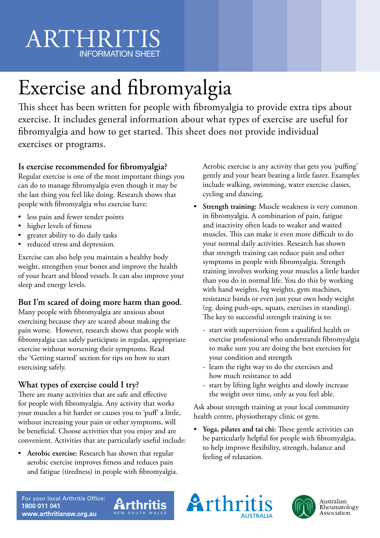# ARTHRIT INFORMATION SHEET

# Exercise and fibromyalgia

This sheet has been written for people with fibromyalgia to provide extra tips about exercise. It includes general information about what types of exercise are useful for fibromyalgia and how to get started. This sheet does not provide individual exercises or programs.

### **Is exercise recommended for fibromyalgia?**

Regular exercise is one of the most important things you can do to manage fibromyalgia even though it may be the last thing you feel like doing. Research shows that people with fibromyalgia who exercise have:

- less pain and fewer tender points
- higher levels of fitness
- greater ability to do daily tasks
- reduced stress and depression.

Exercise can also help you maintain a healthy body weight, strengthen your bones and improve the health of your heart and blood vessels. It can also improve your sleep and energy levels.

#### **But I'm scared of doing more harm than good.**

Many people with fibromyalgia are anxious about exercising because they are scared about making the pain worse. However, research shows that people with fibromyalgia can safely participate in regular, appropriate exercise without worsening their symptoms. Read the 'Getting started' section for tips on how to start exercising safely.

## **What types of exercise could I try?**

There are many activities that are safe and effective for people with fibromyalgia. Any activity that works your muscles a bit harder or causes you to 'puff' a little, without increasing your pain or other symptoms, will be beneficial. Choose activities that you enjoy and are convenient. Activities that are particularly useful include:

• **Aerobic exercise:** Research has shown that regular aerobic exercise improves fitness and reduces pain and fatigue (tiredness) in people with fibromyalgia.

**Arthritis** 

Aerobic exercise is any activity that gets you 'puffing' gently and your heart beating a little faster. Examples include walking, swimming, water exercise classes, cycling and dancing.

- **Strength training:** Muscle weakness is very common in fibromyalgia. A combination of pain, fatigue and inactivity often leads to weaker and wasted muscles. This can make it even more difficult to do your normal daily activities. Research has shown that strength training can reduce pain and other symptoms in people with fibromyalgia. Strength training involves working your muscles a little harder than you do in normal life. You do this by working with hand weights, leg weights, gym machines, resistance bands or even just your own body weight (eg. doing push-ups, squats, exercises in standing). The key to successful strength training is to:
	- start with supervision from a qualified health or exercise professional who understands fibromyalgia to make sure you are doing the best exercises for your condition and strength
	- learn the right way to do the exercises and how much resistance to add
	- start by lifting light weights and slowly increase the weight over time, only as you feel able.

Ask about strength training at your local community health centre, physiotherapy clinic or gym.

• **Yoga, pilates and tai chi:** These gentle activities can be particularly helpful for people with fibromyalgia, to help improve flexibility, strength, balance and feeling of relaxation.